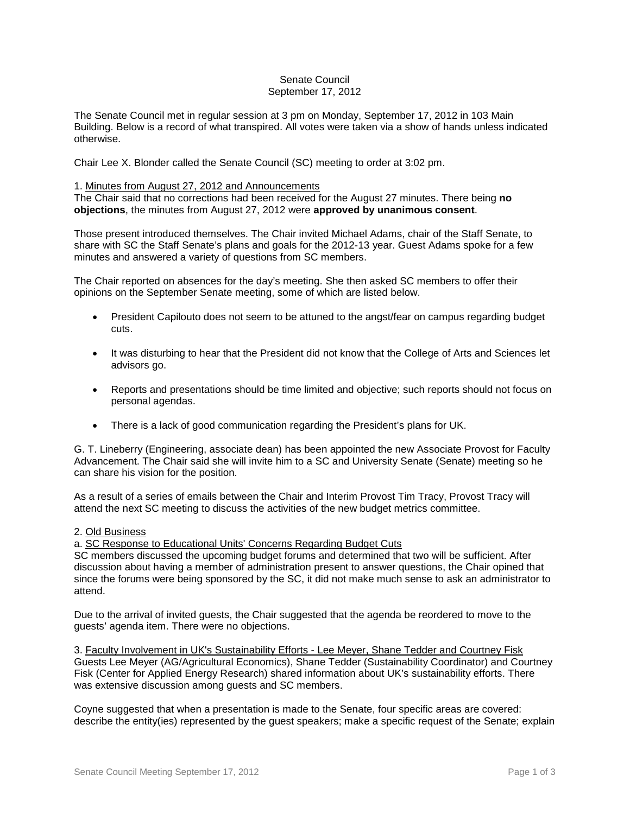### Senate Council September 17, 2012

The Senate Council met in regular session at 3 pm on Monday, September 17, 2012 in 103 Main Building. Below is a record of what transpired. All votes were taken via a show of hands unless indicated otherwise.

Chair Lee X. Blonder called the Senate Council (SC) meeting to order at 3:02 pm.

### 1. Minutes from August 27, 2012 and Announcements

The Chair said that no corrections had been received for the August 27 minutes. There being **no objections**, the minutes from August 27, 2012 were **approved by unanimous consent**.

Those present introduced themselves. The Chair invited Michael Adams, chair of the Staff Senate, to share with SC the Staff Senate's plans and goals for the 2012-13 year. Guest Adams spoke for a few minutes and answered a variety of questions from SC members.

The Chair reported on absences for the day's meeting. She then asked SC members to offer their opinions on the September Senate meeting, some of which are listed below.

- President Capilouto does not seem to be attuned to the angst/fear on campus regarding budget cuts.
- It was disturbing to hear that the President did not know that the College of Arts and Sciences let advisors go.
- Reports and presentations should be time limited and objective; such reports should not focus on personal agendas.
- There is a lack of good communication regarding the President's plans for UK.

G. T. Lineberry (Engineering, associate dean) has been appointed the new Associate Provost for Faculty Advancement. The Chair said she will invite him to a SC and University Senate (Senate) meeting so he can share his vision for the position.

As a result of a series of emails between the Chair and Interim Provost Tim Tracy, Provost Tracy will attend the next SC meeting to discuss the activities of the new budget metrics committee.

#### 2. Old Business

a. SC Response to Educational Units' Concerns Regarding Budget Cuts

SC members discussed the upcoming budget forums and determined that two will be sufficient. After discussion about having a member of administration present to answer questions, the Chair opined that since the forums were being sponsored by the SC, it did not make much sense to ask an administrator to attend.

Due to the arrival of invited guests, the Chair suggested that the agenda be reordered to move to the guests' agenda item. There were no objections.

3. Faculty Involvement in UK's Sustainability Efforts - Lee Meyer, Shane Tedder and Courtney Fisk Guests Lee Meyer (AG/Agricultural Economics), Shane Tedder (Sustainability Coordinator) and Courtney Fisk (Center for Applied Energy Research) shared information about UK's sustainability efforts. There was extensive discussion among guests and SC members.

Coyne suggested that when a presentation is made to the Senate, four specific areas are covered: describe the entity(ies) represented by the guest speakers; make a specific request of the Senate; explain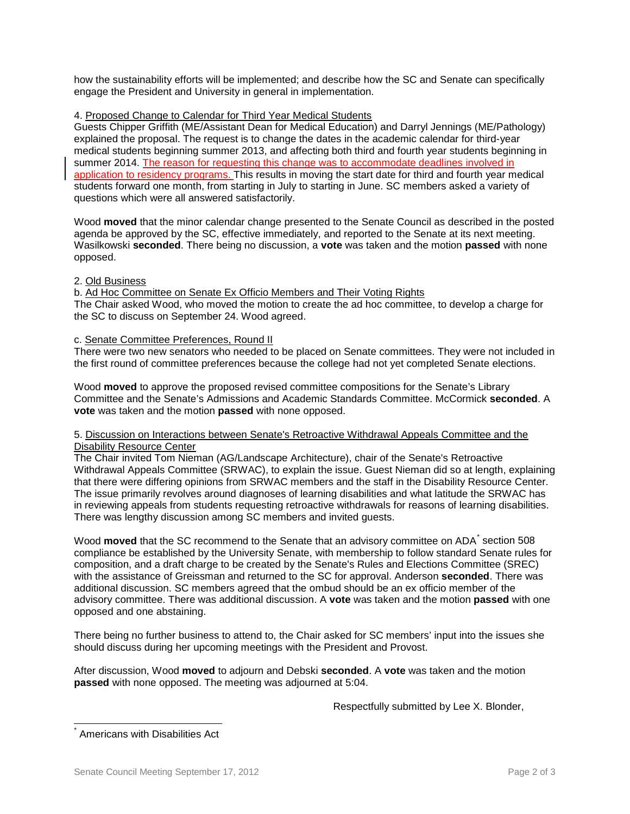how the sustainability efforts will be implemented; and describe how the SC and Senate can specifically engage the President and University in general in implementation.

## 4. Proposed Change to Calendar for Third Year Medical Students

Guests Chipper Griffith (ME/Assistant Dean for Medical Education) and Darryl Jennings (ME/Pathology) explained the proposal. The request is to change the dates in the academic calendar for third-year medical students beginning summer 2013, and affecting both third and fourth year students beginning in summer 2014. The reason for requesting this change was to accommodate deadlines involved in application to residency programs. This results in moving the start date for third and fourth year medical students forward one month, from starting in July to starting in June. SC members asked a variety of questions which were all answered satisfactorily.

Wood **moved** that the minor calendar change presented to the Senate Council as described in the posted agenda be approved by the SC, effective immediately, and reported to the Senate at its next meeting. Wasilkowski **seconded**. There being no discussion, a **vote** was taken and the motion **passed** with none opposed.

### 2. Old Business

b. Ad Hoc Committee on Senate Ex Officio Members and Their Voting Rights The Chair asked Wood, who moved the motion to create the ad hoc committee, to develop a charge for the SC to discuss on September 24. Wood agreed.

# c. Senate Committee Preferences, Round II

There were two new senators who needed to be placed on Senate committees. They were not included in the first round of committee preferences because the college had not yet completed Senate elections.

Wood **moved** to approve the proposed revised committee compositions for the Senate's Library Committee and the Senate's Admissions and Academic Standards Committee. McCormick **seconded**. A **vote** was taken and the motion **passed** with none opposed.

### 5. Discussion on Interactions between Senate's Retroactive Withdrawal Appeals Committee and the Disability Resource Center

The Chair invited Tom Nieman (AG/Landscape Architecture), chair of the Senate's Retroactive Withdrawal Appeals Committee (SRWAC), to explain the issue. Guest Nieman did so at length, explaining that there were differing opinions from SRWAC members and the staff in the Disability Resource Center. The issue primarily revolves around diagnoses of learning disabilities and what latitude the SRWAC has in reviewing appeals from students requesting retroactive withdrawals for reasons of learning disabilities. There was lengthy discussion among SC members and invited guests.

Wood **moved** that the SC recommend to the Senate that an advisory committee on ADA<sup>[\\*](#page-1-0)</sup> section 508 compliance be established by the University Senate, with membership to follow standard Senate rules for composition, and a draft charge to be created by the Senate's Rules and Elections Committee (SREC) with the assistance of Greissman and returned to the SC for approval. Anderson **seconded**. There was additional discussion. SC members agreed that the ombud should be an ex officio member of the advisory committee. There was additional discussion. A **vote** was taken and the motion **passed** with one opposed and one abstaining.

There being no further business to attend to, the Chair asked for SC members' input into the issues she should discuss during her upcoming meetings with the President and Provost.

After discussion, Wood **moved** to adjourn and Debski **seconded**. A **vote** was taken and the motion **passed** with none opposed. The meeting was adjourned at 5:04.

Respectfully submitted by Lee X. Blonder,

<span id="page-1-0"></span>Americans with Disabilities Act